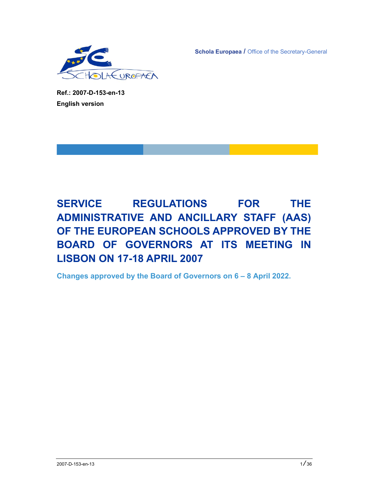EUROPAEA

**Schola Europaea / Office of the Secretary-General** 

**Ref.: 2007-D-153-en-13 English version** 

**SERVICE REGULATIONS FOR THE ADMINISTRATIVE AND ANCILLARY STAFF (AAS) OF THE EUROPEAN SCHOOLS APPROVED BY THE BOARD OF GOVERNORS AT ITS MEETING IN LISBON ON 17-18 APRIL 2007** 

**Changes approved by the Board of Governors on 6 – 8 April 2022.**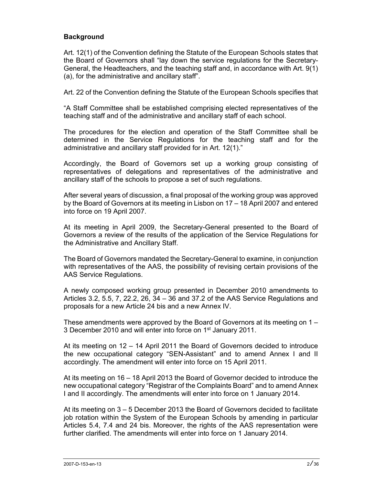# **Background**

Art. 12(1) of the Convention defining the Statute of the European Schools states that the Board of Governors shall "lay down the service regulations for the Secretary-General, the Headteachers, and the teaching staff and, in accordance with Art. 9(1) (a), for the administrative and ancillary staff".

Art. 22 of the Convention defining the Statute of the European Schools specifies that

"A Staff Committee shall be established comprising elected representatives of the teaching staff and of the administrative and ancillary staff of each school.

The procedures for the election and operation of the Staff Committee shall be determined in the Service Regulations for the teaching staff and for the administrative and ancillary staff provided for in Art. 12(1)."

Accordingly, the Board of Governors set up a working group consisting of representatives of delegations and representatives of the administrative and ancillary staff of the schools to propose a set of such regulations.

After several years of discussion, a final proposal of the working group was approved by the Board of Governors at its meeting in Lisbon on 17 – 18 April 2007 and entered into force on 19 April 2007.

At its meeting in April 2009, the Secretary-General presented to the Board of Governors a review of the results of the application of the Service Regulations for the Administrative and Ancillary Staff.

The Board of Governors mandated the Secretary-General to examine, in conjunction with representatives of the AAS, the possibility of revising certain provisions of the AAS Service Regulations.

A newly composed working group presented in December 2010 amendments to Articles 3.2, 5.5, 7, 22.2, 26, 34 – 36 and 37.2 of the AAS Service Regulations and proposals for a new Article 24 bis and a new Annex IV.

These amendments were approved by the Board of Governors at its meeting on 1 – 3 December 2010 and will enter into force on 1<sup>st</sup> January 2011.

At its meeting on 12 – 14 April 2011 the Board of Governors decided to introduce the new occupational category "SEN-Assistant" and to amend Annex I and II accordingly. The amendment will enter into force on 15 April 2011.

At its meeting on 16 – 18 April 2013 the Board of Governor decided to introduce the new occupational category "Registrar of the Complaints Board" and to amend Annex I and II accordingly. The amendments will enter into force on 1 January 2014.

At its meeting on 3 – 5 December 2013 the Board of Governors decided to facilitate job rotation within the System of the European Schools by amending in particular Articles 5.4, 7.4 and 24 bis. Moreover, the rights of the AAS representation were further clarified. The amendments will enter into force on 1 January 2014.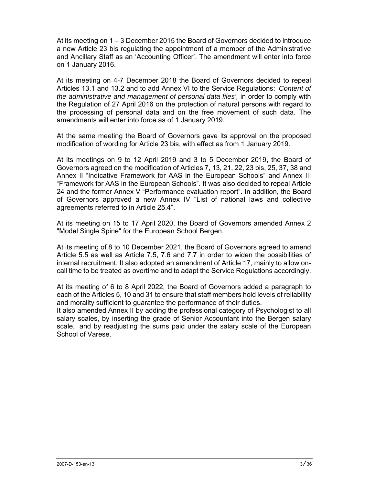At its meeting on 1 – 3 December 2015 the Board of Governors decided to introduce a new Article 23 bis regulating the appointment of a member of the Administrative and Ancillary Staff as an 'Accounting Officer'. The amendment will enter into force on 1 January 2016.

At its meeting on 4-7 December 2018 the Board of Governors decided to repeal Articles 13.1 and 13.2 and to add Annex VI to the Service Regulations: '*Content of the administrative and management of personal data files',* in order to comply with the Regulation of 27 April 2016 on the protection of natural persons with regard to the processing of personal data and on the free movement of such data. The amendments will enter into force as of 1 January 2019.

At the same meeting the Board of Governors gave its approval on the proposed modification of wording for Article 23 bis, with effect as from 1 January 2019.

At its meetings on 9 to 12 April 2019 and 3 to 5 December 2019, the Board of Governors agreed on the modification of Articles 7, 13, 21, 22, 23 bis, 25, 37, 38 and Annex II "Indicative Framework for AAS in the European Schools" and Annex III "Framework for AAS in the European Schools". It was also decided to repeal Article 24 and the former Annex V "Performance evaluation report". In addition, the Board of Governors approved a new Annex IV "List of national laws and collective agreements referred to in Article 25.4".

At its meeting on 15 to 17 April 2020, the Board of Governors amended Annex 2 "Model Single Spine" for the European School Bergen.

At its meeting of 8 to 10 December 2021, the Board of Governors agreed to amend Article 5.5 as well as Article 7.5, 7.6 and 7.7 in order to widen the possibilities of internal recruitment. It also adopted an amendment of Article 17, mainly to allow oncall time to be treated as overtime and to adapt the Service Regulations accordingly.

At its meeting of 6 to 8 April 2022, the Board of Governors added a paragraph to each of the Articles 5, 10 and 31 to ensure that staff members hold levels of reliability and morality sufficient to guarantee the performance of their duties.

It also amended Annex II by adding the professional category of Psychologist to all salary scales, by inserting the grade of Senior Accountant into the Bergen salary scale, and by readjusting the sums paid under the salary scale of the European School of Varese.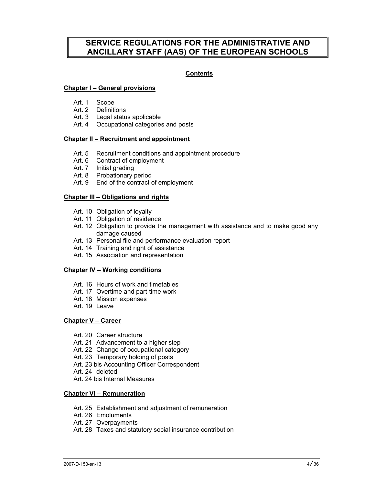# **SERVICE REGULATIONS FOR THE ADMINISTRATIVE AND ANCILLARY STAFF (AAS) OF THE EUROPEAN SCHOOLS**

# **Contents**

## **Chapter I – General provisions**

- Art. 1 Scope
- Art. 2 Definitions
- Art. 3 Legal status applicable
- Art. 4 Occupational categories and posts

## **Chapter II – Recruitment and appointment**

- Art. 5 Recruitment conditions and appointment procedure
- Art. 6 Contract of employment
- Art. 7 Initial grading
	- Art. 8 Probationary period
	- Art. 9 End of the contract of employment

## **Chapter III – Obligations and rights**

- Art. 10 Obligation of loyalty
- Art. 11 Obligation of residence
- Art. 12 Obligation to provide the management with assistance and to make good any damage caused
- Art. 13 Personal file and performance evaluation report
- Art. 14 Training and right of assistance
- Art. 15 Association and representation

#### **Chapter IV – Working conditions**

- Art. 16 Hours of work and timetables
- Art. 17 Overtime and part-time work
- Art. 18 Mission expenses
- Art. 19 Leave

#### **Chapter V – Career**

- Art. 20 Career structure
- Art. 21 Advancement to a higher step
- Art. 22 Change of occupational category
- Art. 23 Temporary holding of posts
- Art. 23 bis Accounting Officer Correspondent
- Art. 24 deleted
- Art. 24 bis Internal Measures

#### **Chapter VI – Remuneration**

- Art. 25 Establishment and adjustment of remuneration
- Art. 26 Emoluments
- Art. 27 Overpayments
- Art. 28 Taxes and statutory social insurance contribution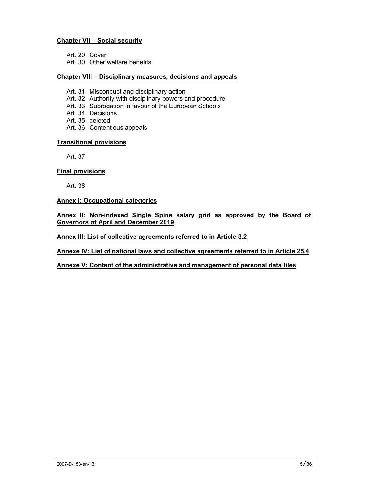# **Chapter VII – Social security**

Art. 29 Cover

Art. 30 Other welfare benefits

## **Chapter VIII – Disciplinary measures, decisions and appeals**

- Art. 31 Misconduct and disciplinary action
- Art. 32 Authority with disciplinary powers and procedure
- Art. 33 Subrogation in favour of the European Schools
- Art. 34 Decisions
- Art. 35 deleted
- Art. 36 Contentious appeals

## **Transitional provisions**

Art. 37

# **Final provisions**

Art. 38

## **Annex I: Occupational categories**

## **Annex II: Non-indexed Single Spine salary grid as approved by the Board of Governors of April and December 2019**

## **Annex III: List of collective agreements referred to in Article 3.2**

**Annexe IV: List of national laws and collective agreements referred to in Article 25.4** 

# **Annexe V: Content of the administrative and management of personal data files**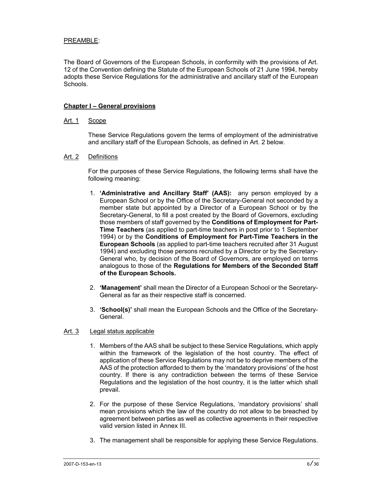# PREAMBLE:

The Board of Governors of the European Schools, in conformity with the provisions of Art. 12 of the Convention defining the Statute of the European Schools of 21 June 1994, hereby adopts these Service Regulations for the administrative and ancillary staff of the European Schools.

#### **Chapter I – General provisions**

#### Art. 1 Scope

 These Service Regulations govern the terms of employment of the administrative and ancillary staff of the European Schools, as defined in Art. 2 below.

#### Art. 2 Definitions

 For the purposes of these Service Regulations, the following terms shall have the following meaning:

- 1. **'Administrative and Ancillary Staff' (AAS):** any person employed by a European School or by the Office of the Secretary-General not seconded by a member state but appointed by a Director of a European School or by the Secretary-General, to fill a post created by the Board of Governors, excluding those members of staff governed by the **Conditions of Employment for Part-Time Teachers** (as applied to part-time teachers in post prior to 1 September 1994) or by the **Conditions of Employment for Part-Time Teachers in the European Schools** (as applied to part-time teachers recruited after 31 August 1994) and excluding those persons recruited by a Director or by the Secretary-General who, by decision of the Board of Governors, are employed on terms analogous to those of the **Regulations for Members of the Seconded Staff of the European Schools.**
- 2. **'Management'** shall mean the Director of a European School or the Secretary-General as far as their respective staff is concerned.
- 3. **'School(s)'** shall mean the European Schools and the Office of the Secretary-General.

#### Art. 3 Legal status applicable

- 1. Members of the AAS shall be subject to these Service Regulations, which apply within the framework of the legislation of the host country. The effect of application of these Service Regulations may not be to deprive members of the AAS of the protection afforded to them by the 'mandatory provisions' of the host country. If there is any contradiction between the terms of these Service Regulations and the legislation of the host country, it is the latter which shall prevail.
- 2. For the purpose of these Service Regulations, 'mandatory provisions' shall mean provisions which the law of the country do not allow to be breached by agreement between parties as well as collective agreements in their respective valid version listed in Annex III.
- 3. The management shall be responsible for applying these Service Regulations.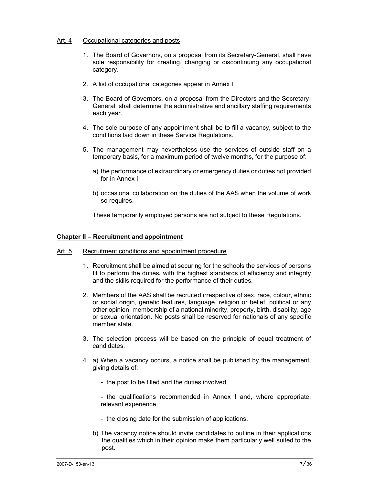# Art. 4 Occupational categories and posts

- 1. The Board of Governors, on a proposal from its Secretary-General, shall have sole responsibility for creating, changing or discontinuing any occupational category.
- 2. A list of occupational categories appear in Annex I.
- 3. The Board of Governors, on a proposal from the Directors and the Secretary-General, shall determine the administrative and ancillary staffing requirements each year.
- 4. The sole purpose of any appointment shall be to fill a vacancy, subject to the conditions laid down in these Service Regulations.
- 5. The management may nevertheless use the services of outside staff on a temporary basis, for a maximum period of twelve months, for the purpose of:
	- a) the performance of extraordinary or emergency duties or duties not provided for in Annex I.
	- b) occasional collaboration on the duties of the AAS when the volume of work so requires.

These temporarily employed persons are not subject to these Regulations.

## **Chapter II – Recruitment and appointment**

- Art. 5 Recruitment conditions and appointment procedure
	- 1. Recruitment shall be aimed at securing for the schools the services of persons fit to perform the duties**,** with the highest standards of efficiency and integrity and the skills required for the performance of their duties.
	- 2. Members of the AAS shall be recruited irrespective of sex, race, colour, ethnic or social origin, genetic features, language, religion or belief, political or any other opinion, membership of a national minority, property, birth, disability, age or sexual orientation. No posts shall be reserved for nationals of any specific member state.
	- 3. The selection process will be based on the principle of equal treatment of candidates.
	- 4. a) When a vacancy occurs, a notice shall be published by the management, giving details of:
		- the post to be filled and the duties involved,
		- the qualifications recommended in Annex I and, where appropriate, relevant experience,
		- the closing date for the submission of applications.
		- b) The vacancy notice should invite candidates to outline in their applications the qualities which in their opinion make them particularly well suited to the post.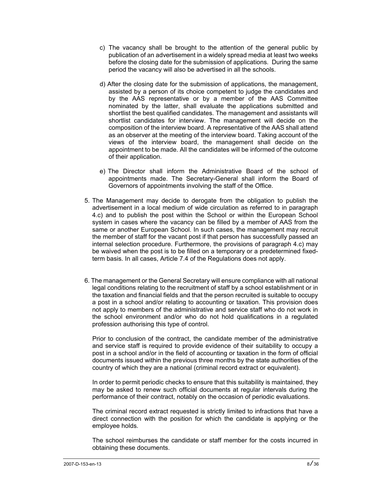- c) The vacancy shall be brought to the attention of the general public by publication of an advertisement in a widely spread media at least two weeks before the closing date for the submission of applications. During the same period the vacancy will also be advertised in all the schools.
- d) After the closing date for the submission of applications, the management, assisted by a person of its choice competent to judge the candidates and by the AAS representative or by a member of the AAS Committee nominated by the latter, shall evaluate the applications submitted and shortlist the best qualified candidates. The management and assistants will shortlist candidates for interview. The management will decide on the composition of the interview board. A representative of the AAS shall attend as an observer at the meeting of the interview board. Taking account of the views of the interview board, the management shall decide on the appointment to be made. All the candidates will be informed of the outcome of their application.
- e) The Director shall inform the Administrative Board of the school of appointments made. The Secretary-General shall inform the Board of Governors of appointments involving the staff of the Office.
- 5. The Management may decide to derogate from the obligation to publish the advertisement in a local medium of wide circulation as referred to in paragraph 4.c) and to publish the post within the School or within the European School system in cases where the vacancy can be filled by a member of AAS from the same or another European School. In such cases, the management may recruit the member of staff for the vacant post if that person has successfully passed an internal selection procedure. Furthermore, the provisions of paragraph 4.c) may be waived when the post is to be filled on a temporary or a predetermined fixedterm basis. In all cases, Article 7.4 of the Regulations does not apply.
- 6. The management or the General Secretary will ensure compliance with all national legal conditions relating to the recruitment of staff by a school establishment or in the taxation and financial fields and that the person recruited is suitable to occupy a post in a school and/or relating to accounting or taxation. This provision does not apply to members of the administrative and service staff who do not work in the school environment and/or who do not hold qualifications in a regulated profession authorising this type of control.

Prior to conclusion of the contract, the candidate member of the administrative and service staff is required to provide evidence of their suitability to occupy a post in a school and/or in the field of accounting or taxation in the form of official documents issued within the previous three months by the state authorities of the country of which they are a national (criminal record extract or equivalent).

In order to permit periodic checks to ensure that this suitability is maintained, they may be asked to renew such official documents at regular intervals during the performance of their contract, notably on the occasion of periodic evaluations.

The criminal record extract requested is strictly limited to infractions that have a direct connection with the position for which the candidate is applying or the employee holds.

The school reimburses the candidate or staff member for the costs incurred in obtaining these documents.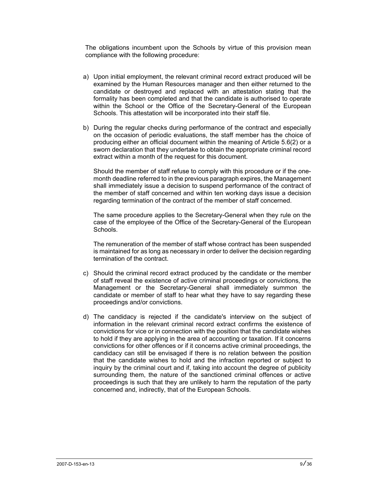The obligations incumbent upon the Schools by virtue of this provision mean compliance with the following procedure:

- a) Upon initial employment, the relevant criminal record extract produced will be examined by the Human Resources manager and then either returned to the candidate or destroyed and replaced with an attestation stating that the formality has been completed and that the candidate is authorised to operate within the School or the Office of the Secretary-General of the European Schools. This attestation will be incorporated into their staff file.
- b) During the regular checks during performance of the contract and especially on the occasion of periodic evaluations, the staff member has the choice of producing either an official document within the meaning of Article 5.6(2) or a sworn declaration that they undertake to obtain the appropriate criminal record extract within a month of the request for this document.

Should the member of staff refuse to comply with this procedure or if the onemonth deadline referred to in the previous paragraph expires, the Management shall immediately issue a decision to suspend performance of the contract of the member of staff concerned and within ten working days issue a decision regarding termination of the contract of the member of staff concerned.

The same procedure applies to the Secretary-General when they rule on the case of the employee of the Office of the Secretary-General of the European Schools.

The remuneration of the member of staff whose contract has been suspended is maintained for as long as necessary in order to deliver the decision regarding termination of the contract.

- c) Should the criminal record extract produced by the candidate or the member of staff reveal the existence of active criminal proceedings or convictions, the Management or the Secretary-General shall immediately summon the candidate or member of staff to hear what they have to say regarding these proceedings and/or convictions.
- d) The candidacy is rejected if the candidate's interview on the subject of information in the relevant criminal record extract confirms the existence of convictions for vice or in connection with the position that the candidate wishes to hold if they are applying in the area of accounting or taxation. If it concerns convictions for other offences or if it concerns active criminal proceedings, the candidacy can still be envisaged if there is no relation between the position that the candidate wishes to hold and the infraction reported or subject to inquiry by the criminal court and if, taking into account the degree of publicity surrounding them, the nature of the sanctioned criminal offences or active proceedings is such that they are unlikely to harm the reputation of the party concerned and, indirectly, that of the European Schools.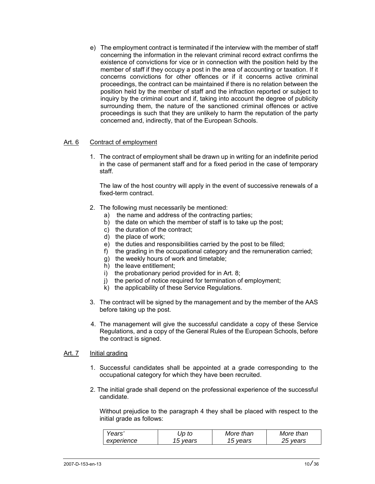e) The employment contract is terminated if the interview with the member of staff concerning the information in the relevant criminal record extract confirms the existence of convictions for vice or in connection with the position held by the member of staff if they occupy a post in the area of accounting or taxation. If it concerns convictions for other offences or if it concerns active criminal proceedings, the contract can be maintained if there is no relation between the position held by the member of staff and the infraction reported or subject to inquiry by the criminal court and if, taking into account the degree of publicity surrounding them, the nature of the sanctioned criminal offences or active proceedings is such that they are unlikely to harm the reputation of the party concerned and, indirectly, that of the European Schools.

# Art. 6 Contract of employment

 1. The contract of employment shall be drawn up in writing for an indefinite period in the case of permanent staff and for a fixed period in the case of temporary staff.

 The law of the host country will apply in the event of successive renewals of a fixed-term contract.

- 2. The following must necessarily be mentioned:
	- a) the name and address of the contracting parties;
	- b) the date on which the member of staff is to take up the post;
	- c) the duration of the contract;
	- d) the place of work;
	- e) the duties and responsibilities carried by the post to be filled;
	- f) the grading in the occupational category and the remuneration carried;
	- g) the weekly hours of work and timetable;
	- h) the leave entitlement;
	- i) the probationary period provided for in Art. 8;
	- j) the period of notice required for termination of employment;
	- k) the applicability of these Service Regulations.
- 3. The contract will be signed by the management and by the member of the AAS before taking up the post.
- 4. The management will give the successful candidate a copy of these Service Regulations, and a copy of the General Rules of the European Schools, before the contract is signed.

## Art. 7 Initial grading

- 1. Successful candidates shall be appointed at a grade corresponding to the occupational category for which they have been recruited.
- 2. The initial grade shall depend on the professional experience of the successful candidate.

Without prejudice to the paragraph 4 they shall be placed with respect to the initial grade as follows:

| Years      | Jp to    | More than | More than |
|------------|----------|-----------|-----------|
| experience | 15 vears | 15 vears  | 25 vears  |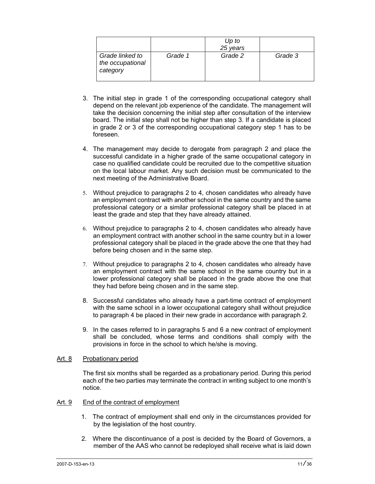|                                                 |         | Up to<br>25 years |         |
|-------------------------------------------------|---------|-------------------|---------|
| Grade linked to<br>the occupational<br>category | Grade 1 | Grade 2           | Grade 3 |

- 3. The initial step in grade 1 of the corresponding occupational category shall depend on the relevant job experience of the candidate. The management will take the decision concerning the initial step after consultation of the interview board. The initial step shall not be higher than step 3. If a candidate is placed in grade 2 or 3 of the corresponding occupational category step 1 has to be foreseen.
- 4. The management may decide to derogate from paragraph 2 and place the successful candidate in a higher grade of the same occupational category in case no qualified candidate could be recruited due to the competitive situation on the local labour market. Any such decision must be communicated to the next meeting of the Administrative Board.
- 5. Without prejudice to paragraphs 2 to 4, chosen candidates who already have an employment contract with another school in the same country and the same professional category or a similar professional category shall be placed in at least the grade and step that they have already attained.
- 6. Without prejudice to paragraphs 2 to 4, chosen candidates who already have an employment contract with another school in the same country but in a lower professional category shall be placed in the grade above the one that they had before being chosen and in the same step.
- 7. Without prejudice to paragraphs 2 to 4, chosen candidates who already have an employment contract with the same school in the same country but in a lower professional category shall be placed in the grade above the one that they had before being chosen and in the same step.
- 8. Successful candidates who already have a part-time contract of employment with the same school in a lower occupational category shall without prejudice to paragraph 4 be placed in their new grade in accordance with paragraph 2.
- 9. In the cases referred to in paragraphs 5 and 6 a new contract of employment shall be concluded, whose terms and conditions shall comply with the provisions in force in the school to which he/she is moving.

# Art. 8 Probationary period

 The first six months shall be regarded as a probationary period. During this period each of the two parties may terminate the contract in writing subject to one month's notice.

#### Art. 9 End of the contract of employment

- 1. The contract of employment shall end only in the circumstances provided for by the legislation of the host country.
- 2. Where the discontinuance of a post is decided by the Board of Governors, a member of the AAS who cannot be redeployed shall receive what is laid down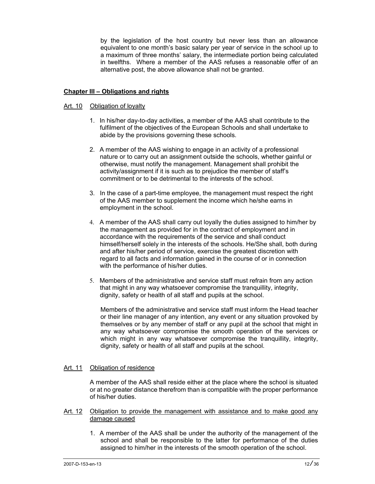by the legislation of the host country but never less than an allowance equivalent to one month's basic salary per year of service in the school up to a maximum of three months' salary, the intermediate portion being calculated in twelfths. Where a member of the AAS refuses a reasonable offer of an alternative post, the above allowance shall not be granted.

## **Chapter III – Obligations and rights**

#### Art. 10 Obligation of loyalty

- 1. In his/her day-to-day activities, a member of the AAS shall contribute to the fulfilment of the objectives of the European Schools and shall undertake to abide by the provisions governing these schools.
- 2. A member of the AAS wishing to engage in an activity of a professional nature or to carry out an assignment outside the schools, whether gainful or otherwise, must notify the management. Management shall prohibit the activity/assignment if it is such as to prejudice the member of staff's commitment or to be detrimental to the interests of the school.
- 3. In the case of a part-time employee, the management must respect the right of the AAS member to supplement the income which he/she earns in employment in the school.
- 4. A member of the AAS shall carry out loyally the duties assigned to him/her by the management as provided for in the contract of employment and in accordance with the requirements of the service and shall conduct himself/herself solely in the interests of the schools. He/She shall, both during and after his/her period of service, exercise the greatest discretion with regard to all facts and information gained in the course of or in connection with the performance of his/her duties.
- 5. Members of the administrative and service staff must refrain from any action that might in any way whatsoever compromise the tranquillity, integrity, dignity, safety or health of all staff and pupils at the school.

Members of the administrative and service staff must inform the Head teacher or their line manager of any intention, any event or any situation provoked by themselves or by any member of staff or any pupil at the school that might in any way whatsoever compromise the smooth operation of the services or which might in any way whatsoever compromise the tranquillity, integrity, dignity, safety or health of all staff and pupils at the school.

## Art. 11 Obligation of residence

 A member of the AAS shall reside either at the place where the school is situated or at no greater distance therefrom than is compatible with the proper performance of his/her duties.

- Art. 12 Obligation to provide the management with assistance and to make good any damage caused
	- 1. A member of the AAS shall be under the authority of the management of the school and shall be responsible to the latter for performance of the duties assigned to him/her in the interests of the smooth operation of the school.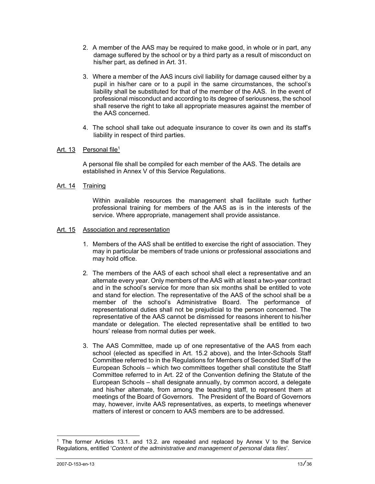- 2. A member of the AAS may be required to make good, in whole or in part, any damage suffered by the school or by a third party as a result of misconduct on his/her part, as defined in Art. 31.
- 3. Where a member of the AAS incurs civil liability for damage caused either by a pupil in his/her care or to a pupil in the same circumstances, the school's liability shall be substituted for that of the member of the AAS. In the event of professional misconduct and according to its degree of seriousness, the school shall reserve the right to take all appropriate measures against the member of the AAS concerned.
- 4. The school shall take out adequate insurance to cover its own and its staff's liability in respect of third parties.

# Art. 13 Personal file<sup>1</sup>

A personal file shall be compiled for each member of the AAS. The details are established in Annex V of this Service Regulations.

# Art. 14 Training

 Within available resources the management shall facilitate such further professional training for members of the AAS as is in the interests of the service. Where appropriate, management shall provide assistance.

## Art. 15 Association and representation

- 1. Members of the AAS shall be entitled to exercise the right of association. They may in particular be members of trade unions or professional associations and may hold office.
- 2*.* The members of the AAS of each school shall elect a representative and an alternate every year. Only members of the AAS with at least a two-year contract and in the school's service for more than six months shall be entitled to vote and stand for election. The representative of the AAS of the school shall be a member of the school's Administrative Board. The performance of representational duties shall not be prejudicial to the person concerned. The representative of the AAS cannot be dismissed for reasons inherent to his/her mandate or delegation. The elected representative shall be entitled to two hours' release from normal duties per week.
- 3. The AAS Committee, made up of one representative of the AAS from each school (elected as specified in Art. 15.2 above), and the Inter-Schools Staff Committee referred to in the Regulations for Members of Seconded Staff of the European Schools – which two committees together shall constitute the Staff Committee referred to in Art. 22 of the Convention defining the Statute of the European Schools – shall designate annually, by common accord, a delegate and his/her alternate, from among the teaching staff, to represent them at meetings of the Board of Governors. The President of the Board of Governors may, however, invite AAS representatives, as experts, to meetings whenever matters of interest or concern to AAS members are to be addressed.

 $\overline{a}$ 

<sup>1</sup> The former Articles 13.1. and 13.2. are repealed and replaced by Annex V to the Service Regulations, entitled '*Content of the administrative and management of personal data files*'.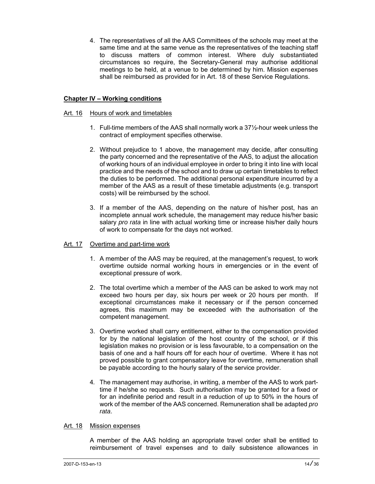4. The representatives of all the AAS Committees of the schools may meet at the same time and at the same venue as the representatives of the teaching staff to discuss matters of common interest. Where duly substantiated circumstances so require, the Secretary-General may authorise additional meetings to be held, at a venue to be determined by him. Mission expenses shall be reimbursed as provided for in Art. 18 of these Service Regulations.

# **Chapter IV – Working conditions**

## Art. 16 Hours of work and timetables

- 1. Full-time members of the AAS shall normally work a 37½-hour week unless the contract of employment specifies otherwise.
- 2. Without prejudice to 1 above, the management may decide, after consulting the party concerned and the representative of the AAS, to adjust the allocation of working hours of an individual employee in order to bring it into line with local practice and the needs of the school and to draw up certain timetables to reflect the duties to be performed. The additional personal expenditure incurred by a member of the AAS as a result of these timetable adjustments (e.g. transport costs) will be reimbursed by the school.
- 3. If a member of the AAS, depending on the nature of his/her post, has an incomplete annual work schedule, the management may reduce his/her basic salary *pro rata* in line with actual working time or increase his/her daily hours of work to compensate for the days not worked.

## Art. 17 Overtime and part-time work

- 1. A member of the AAS may be required, at the management's request, to work overtime outside normal working hours in emergencies or in the event of exceptional pressure of work.
- 2. The total overtime which a member of the AAS can be asked to work may not exceed two hours per day, six hours per week or 20 hours per month. If exceptional circumstances make it necessary or if the person concerned agrees, this maximum may be exceeded with the authorisation of the competent management.
- 3. Overtime worked shall carry entitlement, either to the compensation provided for by the national legislation of the host country of the school, or if this legislation makes no provision or is less favourable, to a compensation on the basis of one and a half hours off for each hour of overtime. Where it has not proved possible to grant compensatory leave for overtime, remuneration shall be payable according to the hourly salary of the service provider.
- 4*.* The management may authorise, in writing, a member of the AAS to work parttime if he/she so requests. Such authorisation may be granted for a fixed or for an indefinite period and result in a reduction of up to 50% in the hours of work of the member of the AAS concerned. Remuneration shall be adapted *pro rata*.

#### Art. 18 Mission expenses

 A member of the AAS holding an appropriate travel order shall be entitled to reimbursement of travel expenses and to daily subsistence allowances in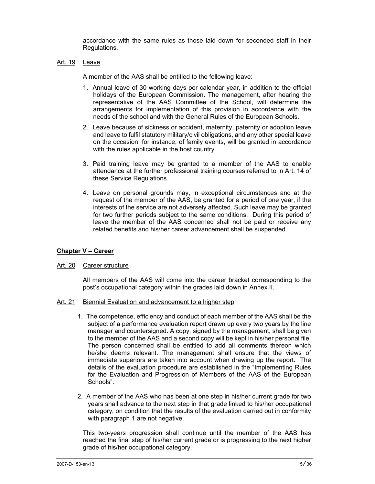accordance with the same rules as those laid down for seconded staff in their Regulations.

## Art. 19 Leave

A member of the AAS shall be entitled to the following leave:

- 1. Annual leave of 30 working days per calendar year, in addition to the official holidays of the European Commission. The management, after hearing the representative of the AAS Committee of the School, will determine the arrangements for implementation of this provision in accordance with the needs of the school and with the General Rules of the European Schools.
- 2. Leave because of sickness or accident, maternity, paternity or adoption leave and leave to fulfil statutory military/civil obligations, and any other special leave on the occasion, for instance, of family events, will be granted in accordance with the rules applicable in the host country.
- 3. Paid training leave may be granted to a member of the AAS to enable attendance at the further professional training courses referred to in Art. 14 of these Service Regulations.
- 4. Leave on personal grounds may, in exceptional circumstances and at the request of the member of the AAS, be granted for a period of one year, if the interests of the service are not adversely affected. Such leave may be granted for two further periods subject to the same conditions. During this period of leave the member of the AAS concerned shall not be paid or receive any related benefits and his/her career advancement shall be suspended.

# **Chapter V – Career**

#### Art. 20 Career structure

 All members of the AAS will come into the career bracket corresponding to the post's occupational category within the grades laid down in Annex II.

- Art. 21 Biennial Evaluation and advancement to a higher step
	- 1. The competence, efficiency and conduct of each member of the AAS shall be the subject of a performance evaluation report drawn up every two years by the line manager and countersigned. A copy, signed by the management, shall be given to the member of the AAS and a second copy will be kept in his/her personal file. The person concerned shall be entitled to add all comments thereon which he/she deems relevant. The management shall ensure that the views of immediate superiors are taken into account when drawing up the report. The details of the evaluation procedure are established in the "Implementing Rules for the Evaluation and Progression of Members of the AAS of the European Schools".
	- 2. A member of the AAS who has been at one step in his/her current grade for two years shall advance to the next step in that grade linked to his/her occupational category, on condition that the results of the evaluation carried out in conformity with paragraph 1 are not negative.

 This two-years progression shall continue until the member of the AAS has reached the final step of his/her current grade or is progressing to the next higher grade of his/her occupational category.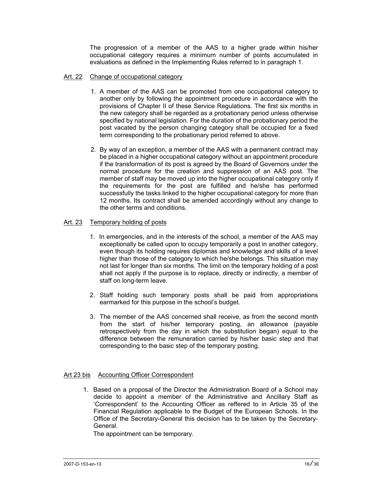The progression of a member of the AAS to a higher grade within his/her occupational category requires a minimum number of points accumulated in evaluations as defined in the Implementing Rules referred to in paragraph 1.

## Art. 22 Change of occupational category

- 1. A member of the AAS can be promoted from one occupational category to another only by following the appointment procedure in accordance with the provisions of Chapter II of these Service Regulations. The first six months in the new category shall be regarded as a probationary period unless otherwise specified by national legislation. For the duration of the probationary period the post vacated by the person changing category shall be occupied for a fixed term corresponding to the probationary period referred to above.
- 2. By way of an exception, a member of the AAS with a permanent contract may be placed in a higher occupational category without an appointment procedure if the transformation of its post is agreed by the Board of Governors under the normal procedure for the creation and suppression of an AAS post. The member of staff may be moved up into the higher occupational category only if the requirements for the post are fulfilled and he/she has performed successfully the tasks linked to the higher occupational category for more than 12 months. Its contract shall be amended accordingly without any change to the other terms and conditions.

## Art. 23 Temporary holding of posts

- 1. In emergencies, and in the interests of the school, a member of the AAS may exceptionally be called upon to occupy temporarily a post in another category, even though its holding requires diplomas and knowledge and skills of a level higher than those of the category to which he/she belongs. This situation may not last for longer than six months. The limit on the temporary holding of a post shall not apply if the purpose is to replace, directly or indirectly, a member of staff on long-term leave.
- 2. Staff holding such temporary posts shall be paid from appropriations earmarked for this purpose in the school's budget.
- 3. The member of the AAS concerned shall receive, as from the second month from the start of his/her temporary posting, an allowance (payable retrospectively from the day in which the substitution began) equal to the difference between the remuneration carried by his/her basic step and that corresponding to the basic step of the temporary posting.

# Art 23 bis Accounting Officer Correspondent

1. Based on a proposal of the Director the Administration Board of a School may decide to appoint a member of the Administrative and Ancillary Staff as 'Correspondent' to the Accounting Officer as reffered to in Article 35 of the Financial Regulation applicable to the Budget of the European Schools. In the Office of the Secretary-General this decision has to be taken by the Secretary-General.

The appointment can be temporary.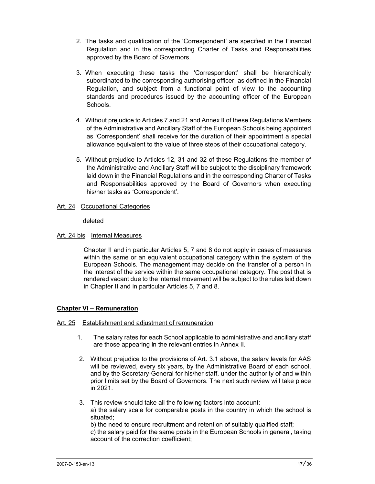- 2. The tasks and qualification of the 'Correspondent' are specified in the Financial Regulation and in the corresponding Charter of Tasks and Responsabilities approved by the Board of Governors.
- 3. When executing these tasks the 'Correspondent' shall be hierarchically subordinated to the corresponding authorising officer, as defined in the Financial Regulation, and subject from a functional point of view to the accounting standards and procedures issued by the accounting officer of the European Schools.
- 4. Without prejudice to Articles 7 and 21 and Annex II of these Regulations Members of the Administrative and Ancillary Staff of the European Schools being appointed as 'Correspondent' shall receive for the duration of their appointment a special allowance equivalent to the value of three steps of their occupational category.
- 5. Without prejudice to Articles 12, 31 and 32 of these Regulations the member of the Administrative and Ancillary Staff will be subject to the disciplinary framework laid down in the Financial Regulations and in the corresponding Charter of Tasks and Responsabilities approved by the Board of Governors when executing his/her tasks as 'Correspondent'.
- Art. 24 Occupational Categories

# deleted

# Art. 24 bis Internal Measures

Chapter II and in particular Articles 5, 7 and 8 do not apply in cases of measures within the same or an equivalent occupational category within the system of the European Schools. The management may decide on the transfer of a person in the interest of the service within the same occupational category. The post that is rendered vacant due to the internal movement will be subject to the rules laid down in Chapter II and in particular Articles 5, 7 and 8.

# **Chapter VI – Remuneration**

# Art. 25 Establishment and adjustment of remuneration

- 1. The salary rates for each School applicable to administrative and ancillary staff are those appearing in the relevant entries in Annex II.
- 2. Without prejudice to the provisions of Art. 3.1 above, the salary levels for AAS will be reviewed, every six years, by the Administrative Board of each school, and by the Secretary-General for his/her staff, under the authority of and within prior limits set by the Board of Governors. The next such review will take place in 2021.
- 3. This review should take all the following factors into account: a) the salary scale for comparable posts in the country in which the school is situated; b) the need to ensure recruitment and retention of suitably qualified staff; c) the salary paid for the same posts in the European Schools in general, taking account of the correction coefficient;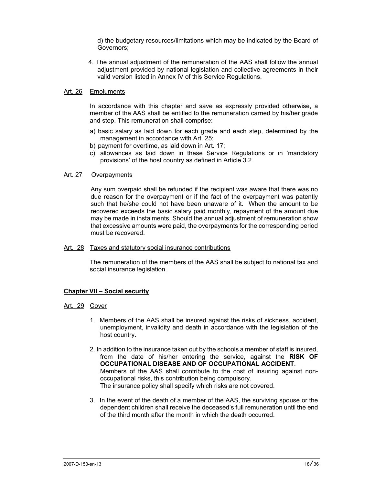d) the budgetary resources/limitations which may be indicated by the Board of Governors;

4. The annual adjustment of the remuneration of the AAS shall follow the annual adjustment provided by national legislation and collective agreements in their valid version listed in Annex IV of this Service Regulations.

#### Art. 26 Emoluments

 In accordance with this chapter and save as expressly provided otherwise, a member of the AAS shall be entitled to the remuneration carried by his/her grade and step. This remuneration shall comprise:

- a) basic salary as laid down for each grade and each step, determined by the management in accordance with Art. 25;
- b) payment for overtime, as laid down in Art. 17;
- c) allowances as laid down in these Service Regulations or in 'mandatory provisions' of the host country as defined in Article 3.2.

## Art. 27 Overpayments

Any sum overpaid shall be refunded if the recipient was aware that there was no due reason for the overpayment or if the fact of the overpayment was patently such that he/she could not have been unaware of it. When the amount to be recovered exceeds the basic salary paid monthly, repayment of the amount due may be made in instalments. Should the annual adjustment of remuneration show that excessive amounts were paid, the overpayments for the corresponding period must be recovered.

#### Art. 28 Taxes and statutory social insurance contributions

 The remuneration of the members of the AAS shall be subject to national tax and social insurance legislation.

#### **Chapter VII – Social security**

#### Art. 29 Cover

- 1. Members of the AAS shall be insured against the risks of sickness, accident, unemployment, invalidity and death in accordance with the legislation of the host country.
- 2. In addition to the insurance taken out by the schools a member of staff is insured, from the date of his/her entering the service, against the **RISK OF OCCUPATIONAL DISEASE AND OF OCCUPATIONAL ACCIDENT**. Members of the AAS shall contribute to the cost of insuring against nonoccupational risks, this contribution being compulsory. The insurance policy shall specify which risks are not covered.
- 3. In the event of the death of a member of the AAS, the surviving spouse or the dependent children shall receive the deceased's full remuneration until the end of the third month after the month in which the death occurred.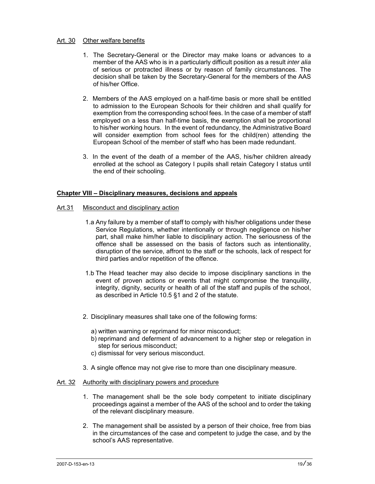## Art. 30 Other welfare benefits

- 1. The Secretary-General or the Director may make loans or advances to a member of the AAS who is in a particularly difficult position as a result *inter alia* of serious or protracted illness or by reason of family circumstances. The decision shall be taken by the Secretary-General for the members of the AAS of his/her Office.
- 2. Members of the AAS employed on a half-time basis or more shall be entitled to admission to the European Schools for their children and shall qualify for exemption from the corresponding school fees. In the case of a member of staff employed on a less than half-time basis, the exemption shall be proportional to his/her working hours. In the event of redundancy, the Administrative Board will consider exemption from school fees for the child(ren) attending the European School of the member of staff who has been made redundant.
- 3. In the event of the death of a member of the AAS, his/her children already enrolled at the school as Category I pupils shall retain Category I status until the end of their schooling.

# **Chapter VIII – Disciplinary measures, decisions and appeals**

#### Art.31 Misconduct and disciplinary action

- 1.a Any failure by a member of staff to comply with his/her obligations under these Service Regulations, whether intentionally or through negligence on his/her part, shall make him/her liable to disciplinary action. The seriousness of the offence shall be assessed on the basis of factors such as intentionality, disruption of the service, affront to the staff or the schools, lack of respect for third parties and/or repetition of the offence.
- 1.b The Head teacher may also decide to impose disciplinary sanctions in the event of proven actions or events that might compromise the tranquility, integrity, dignity, security or health of all of the staff and pupils of the school, as described in Article 10.5 §1 and 2 of the statute.
- 2. Disciplinary measures shall take one of the following forms:
	- a) written warning or reprimand for minor misconduct;
	- b) reprimand and deferment of advancement to a higher step or relegation in step for serious misconduct;
	- c) dismissal for very serious misconduct.
- 3. A single offence may not give rise to more than one disciplinary measure.

#### Art. 32 Authority with disciplinary powers and procedure

- 1. The management shall be the sole body competent to initiate disciplinary proceedings against a member of the AAS of the school and to order the taking of the relevant disciplinary measure.
- 2. The management shall be assisted by a person of their choice, free from bias in the circumstances of the case and competent to judge the case, and by the school's AAS representative.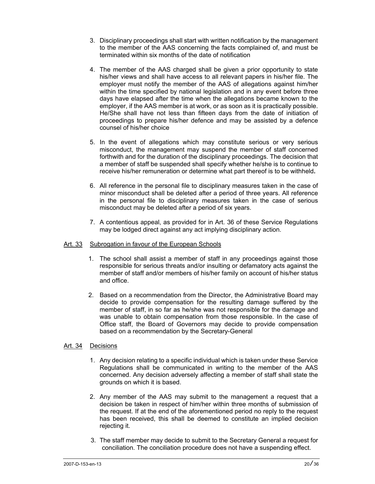- 3. Disciplinary proceedings shall start with written notification by the management to the member of the AAS concerning the facts complained of, and must be terminated within six months of the date of notification
- 4. The member of the AAS charged shall be given a prior opportunity to state his/her views and shall have access to all relevant papers in his/her file. The employer must notify the member of the AAS of allegations against him/her within the time specified by national legislation and in any event before three days have elapsed after the time when the allegations became known to the employer, if the AAS member is at work, or as soon as it is practically possible. He/She shall have not less than fifteen days from the date of initiation of proceedings to prepare his/her defence and may be assisted by a defence counsel of his/her choice
- 5. In the event of allegations which may constitute serious or very serious misconduct, the management may suspend the member of staff concerned forthwith and for the duration of the disciplinary proceedings. The decision that a member of staff be suspended shall specify whether he/she is to continue to receive his/her remuneration or determine what part thereof is to be withheld**.**
- 6. All reference in the personal file to disciplinary measures taken in the case of minor misconduct shall be deleted after a period of three years. All reference in the personal file to disciplinary measures taken in the case of serious misconduct may be deleted after a period of six years.
- 7. A contentious appeal, as provided for in Art. 36 of these Service Regulations may be lodged direct against any act implying disciplinary action.

## Art. 33 Subrogation in favour of the European Schools

- 1. The school shall assist a member of staff in any proceedings against those responsible for serious threats and/or insulting or defamatory acts against the member of staff and/or members of his/her family on account of his/her status and office.
- 2. Based on a recommendation from the Director, the Administrative Board may decide to provide compensation for the resulting damage suffered by the member of staff, in so far as he/she was not responsible for the damage and was unable to obtain compensation from those responsible. In the case of Office staff, the Board of Governors may decide to provide compensation based on a recommendation by the Secretary-General

# Art. 34 Decisions

- 1. Any decision relating to a specific individual which is taken under these Service Regulations shall be communicated in writing to the member of the AAS concerned. Any decision adversely affecting a member of staff shall state the grounds on which it is based.
- 2. Any member of the AAS may submit to the management a request that a decision be taken in respect of him/her within three months of submission of the request. If at the end of the aforementioned period no reply to the request has been received, this shall be deemed to constitute an implied decision rejecting it.
- 3. The staff member may decide to submit to the Secretary General a request for conciliation. The conciliation procedure does not have a suspending effect.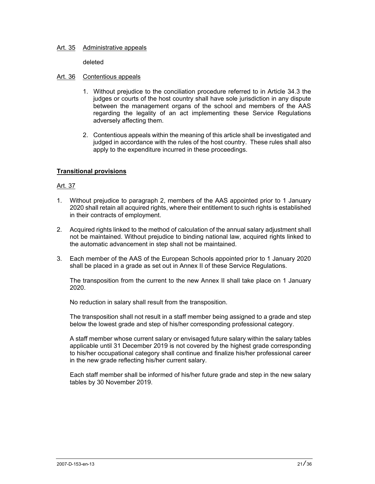## Art. 35 Administrative appeals

deleted

## Art. 36 Contentious appeals

- 1. Without prejudice to the conciliation procedure referred to in Article 34.3 the judges or courts of the host country shall have sole jurisdiction in any dispute between the management organs of the school and members of the AAS regarding the legality of an act implementing these Service Regulations adversely affecting them.
- 2. Contentious appeals within the meaning of this article shall be investigated and judged in accordance with the rules of the host country. These rules shall also apply to the expenditure incurred in these proceedings.

# **Transitional provisions**

## Art. 37

- 1. Without prejudice to paragraph 2, members of the AAS appointed prior to 1 January 2020 shall retain all acquired rights, where their entitlement to such rights is established in their contracts of employment.
- 2. Acquired rights linked to the method of calculation of the annual salary adjustment shall not be maintained. Without prejudice to binding national law, acquired rights linked to the automatic advancement in step shall not be maintained.
- 3. Each member of the AAS of the European Schools appointed prior to 1 January 2020 shall be placed in a grade as set out in Annex II of these Service Regulations.

 The transposition from the current to the new Annex II shall take place on 1 January 2020.

No reduction in salary shall result from the transposition.

 The transposition shall not result in a staff member being assigned to a grade and step below the lowest grade and step of his/her corresponding professional category.

 A staff member whose current salary or envisaged future salary within the salary tables applicable until 31 December 2019 is not covered by the highest grade corresponding to his/her occupational category shall continue and finalize his/her professional career in the new grade reflecting his/her current salary.

Each staff member shall be informed of his/her future grade and step in the new salary tables by 30 November 2019.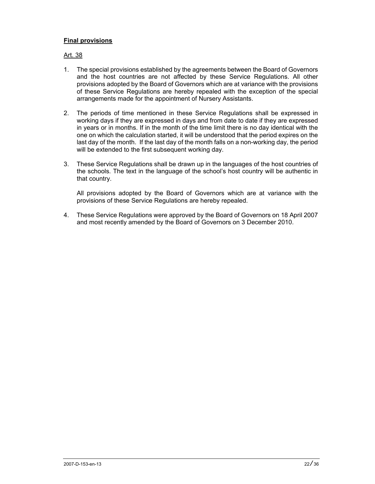# **Final provisions**

# Art. 38

- 1. The special provisions established by the agreements between the Board of Governors and the host countries are not affected by these Service Regulations. All other provisions adopted by the Board of Governors which are at variance with the provisions of these Service Regulations are hereby repealed with the exception of the special arrangements made for the appointment of Nursery Assistants.
- 2. The periods of time mentioned in these Service Regulations shall be expressed in working days if they are expressed in days and from date to date if they are expressed in years or in months. If in the month of the time limit there is no day identical with the one on which the calculation started, it will be understood that the period expires on the last day of the month. If the last day of the month falls on a non-working day, the period will be extended to the first subsequent working day.
- 3. These Service Regulations shall be drawn up in the languages of the host countries of the schools. The text in the language of the school's host country will be authentic in that country.

 All provisions adopted by the Board of Governors which are at variance with the provisions of these Service Regulations are hereby repealed.

4. These Service Regulations were approved by the Board of Governors on 18 April 2007 and most recently amended by the Board of Governors on 3 December 2010.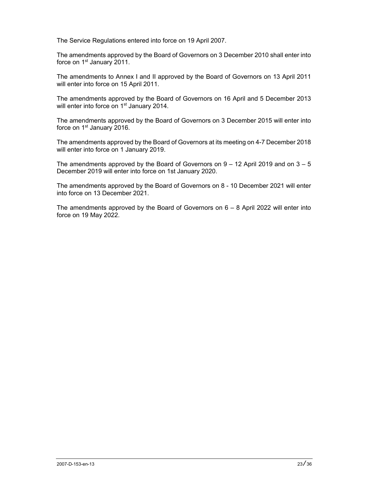The Service Regulations entered into force on 19 April 2007.

The amendments approved by the Board of Governors on 3 December 2010 shall enter into force on 1<sup>st</sup> January 2011.

The amendments to Annex I and II approved by the Board of Governors on 13 April 2011 will enter into force on 15 April 2011.

The amendments approved by the Board of Governors on 16 April and 5 December 2013 will enter into force on 1<sup>st</sup> January 2014.

The amendments approved by the Board of Governors on 3 December 2015 will enter into force on 1<sup>st</sup> January 2016.

The amendments approved by the Board of Governors at its meeting on 4-7 December 2018 will enter into force on 1 January 2019.

The amendments approved by the Board of Governors on  $9 - 12$  April 2019 and on  $3 - 5$ December 2019 will enter into force on 1st January 2020.

The amendments approved by the Board of Governors on 8 - 10 December 2021 will enter into force on 13 December 2021.

The amendments approved by the Board of Governors on  $6 - 8$  April 2022 will enter into force on 19 May 2022.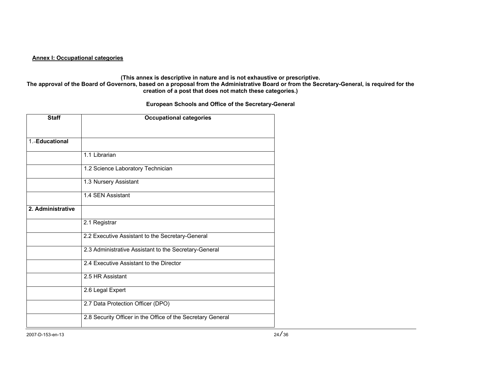#### **Annex I: Occupational categories**

#### **(This annex is descriptive in nature and is not exhaustive or prescriptive.**

**The approval of the Board of Governors, based on a proposal from the Administrative Board or from the Secretary-General, is required for the creation of a post that does not match these categories.)** 

#### **European Schools and Office of the Secretary-General**

| <b>Staff</b>      | <b>Occupational categories</b>                              |
|-------------------|-------------------------------------------------------------|
|                   |                                                             |
| 1.-Educational    |                                                             |
|                   | 1.1 Librarian                                               |
|                   | 1.2 Science Laboratory Technician                           |
|                   | 1.3 Nursery Assistant                                       |
|                   | 1.4 SEN Assistant                                           |
| 2. Administrative |                                                             |
|                   | 2.1 Registrar                                               |
|                   | 2.2 Executive Assistant to the Secretary-General            |
|                   | 2.3 Administrative Assistant to the Secretary-General       |
|                   | 2.4 Executive Assistant to the Director                     |
|                   | 2.5 HR Assistant                                            |
|                   | 2.6 Legal Expert                                            |
|                   | 2.7 Data Protection Officer (DPO)                           |
|                   | 2.8 Security Officer in the Office of the Secretary General |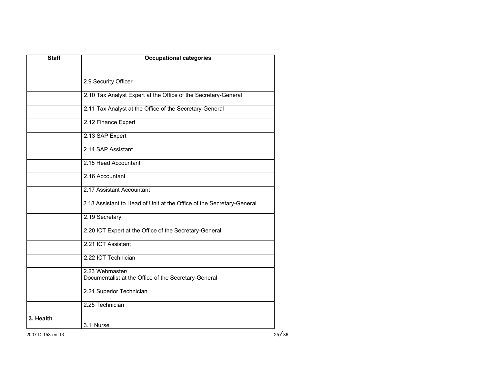| <b>Staff</b> | <b>Occupational categories</b>                                          |
|--------------|-------------------------------------------------------------------------|
|              |                                                                         |
|              | 2.9 Security Officer                                                    |
|              | 2.10 Tax Analyst Expert at the Office of the Secretary-General          |
|              | 2.11 Tax Analyst at the Office of the Secretary-General                 |
|              | 2.12 Finance Expert                                                     |
|              | 2.13 SAP Expert                                                         |
|              | 2.14 SAP Assistant                                                      |
|              | 2.15 Head Accountant                                                    |
|              | 2.16 Accountant                                                         |
|              | 2.17 Assistant Accountant                                               |
|              | 2.18 Assistant to Head of Unit at the Office of the Secretary-General   |
|              | 2.19 Secretary                                                          |
|              | 2.20 ICT Expert at the Office of the Secretary-General                  |
|              | 2.21 ICT Assistant                                                      |
|              | 2.22 ICT Technician                                                     |
|              | 2.23 Webmaster/<br>Documentalist at the Office of the Secretary-General |
|              | 2.24 Superior Technician                                                |
|              | 2.25 Technician                                                         |
| 3. Health    |                                                                         |
|              | 3.1 Nurse                                                               |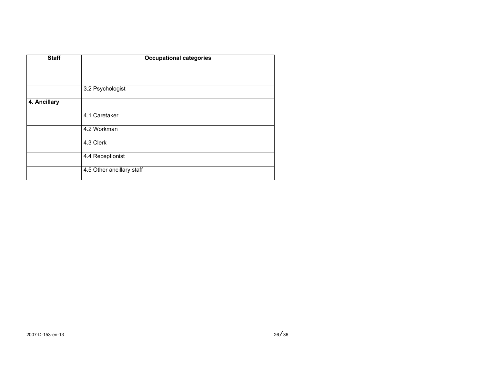| <b>Staff</b> | <b>Occupational categories</b> |
|--------------|--------------------------------|
|              |                                |
|              |                                |
|              | 3.2 Psychologist               |
| 4. Ancillary |                                |
|              | 4.1 Caretaker                  |
|              | 4.2 Workman                    |
|              | 4.3 Clerk                      |
|              | 4.4 Receptionist               |
|              | 4.5 Other ancillary staff      |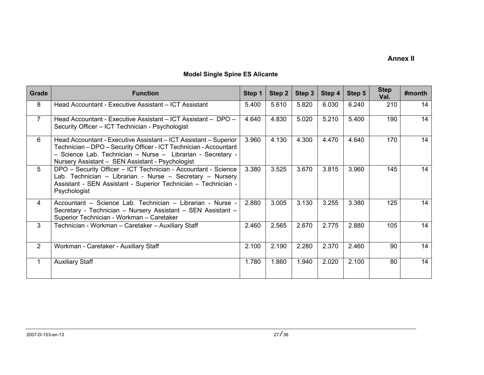# **Annex II**

|  | <b>Model Single Spine ES Alicante</b> |  |  |  |
|--|---------------------------------------|--|--|--|
|--|---------------------------------------|--|--|--|

| Grade          | <b>Function</b>                                                                                                                                                                                                                                          | Step 1 | Step 2 | Step 3 | Step 4 | Step 5 | <b>Step</b><br>Val. | #month |
|----------------|----------------------------------------------------------------------------------------------------------------------------------------------------------------------------------------------------------------------------------------------------------|--------|--------|--------|--------|--------|---------------------|--------|
| 8              | Head Accountant - Executive Assistant - ICT Assistant                                                                                                                                                                                                    | 5.400  | 5.610  | 5.820  | 6.030  | 6.240  | 210                 | 14     |
| $\overline{7}$ | Head Accountant - Executive Assistant - ICT Assistant - DPO -<br>Security Officer - ICT Technician - Psychologist                                                                                                                                        | 4.640  | 4.830  | 5.020  | 5.210  | 5.400  | 190                 | 14     |
| 6              | Head Accountant - Executive Assistant - ICT Assistant - Superior<br>Technician - DPO - Security Officer - ICT Technician - Accountant<br>- Science Lab. Technician - Nurse - Librarian - Secretary -<br>Nursery Assistant - SEN Assistant - Psychologist | 3.960  | 4.130  | 4.300  | 4.470  | 4.640  | 170                 | 14     |
| 5              | DPO - Security Officer - ICT Technician - Accountant - Science<br>Lab. Technician - Librarian - Nurse - Secretary - Nursery<br>Assistant - SEN Assistant - Superior Technician - Technician -<br>Psychologist                                            | 3.380  | 3.525  | 3.670  | 3.815  | 3.960  | 145                 | 14     |
| 4              | Accountant - Science Lab. Technician - Librarian - Nurse -<br>Secretary - Technician - Nursery Assistant - SEN Assistant -<br>Superior Technician - Workman - Caretaker                                                                                  | 2.880  | 3.005  | 3.130  | 3.255  | 3.380  | 125                 | 14     |
| 3              | Technician - Workman - Caretaker - Auxiliary Staff                                                                                                                                                                                                       | 2.460  | 2.565  | 2.670  | 2.775  | 2.880  | 105                 | 14     |
| 2              | Workman - Caretaker - Auxiliary Staff                                                                                                                                                                                                                    | 2.100  | 2.190  | 2.280  | 2.370  | 2.460  | 90                  | 14     |
| 1              | <b>Auxiliary Staff</b>                                                                                                                                                                                                                                   | 1.780  | 1.860  | 1.940  | 2.020  | 2.100  | 80                  | 14     |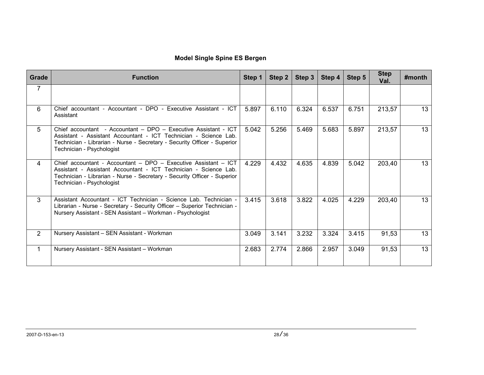# **Model Single Spine ES Bergen**

| Grade          | <b>Function</b>                                                                                                                                                                                                                              | Step 1 | Step 2 | Step $3$ | Step 4 | Step 5 | <b>Step</b><br>Val. | $#$ month |
|----------------|----------------------------------------------------------------------------------------------------------------------------------------------------------------------------------------------------------------------------------------------|--------|--------|----------|--------|--------|---------------------|-----------|
| $\overline{7}$ |                                                                                                                                                                                                                                              |        |        |          |        |        |                     |           |
| 6              | Chief accountant - Accountant - DPO - Executive Assistant - ICT<br>Assistant                                                                                                                                                                 | 5.897  | 6.110  | 6.324    | 6.537  | 6.751  | 213,57              | 13        |
| 5              | Chief accountant - Accountant - DPO - Executive Assistant - ICT<br>Assistant - Assistant Accountant - ICT Technician - Science Lab.<br>Technician - Librarian - Nurse - Secretary - Security Officer - Superior<br>Technician - Psychologist | 5.042  | 5.256  | 5.469    | 5.683  | 5.897  | 213,57              | 13        |
| 4              | Chief accountant - Accountant - DPO - Executive Assistant - ICT<br>Assistant - Assistant Accountant - ICT Technician - Science Lab.<br>Technician - Librarian - Nurse - Secretary - Security Officer - Superior<br>Technician - Psychologist | 4.229  | 4.432  | 4.635    | 4.839  | 5.042  | 203,40              | 13        |
| 3              | Assistant Accountant - ICT Technician - Science Lab. Technician -<br>Librarian - Nurse - Secretary - Security Officer - Superior Technician -<br>Nursery Assistant - SEN Assistant - Workman - Psychologist                                  | 3.415  | 3.618  | 3.822    | 4.025  | 4.229  | 203,40              | 13        |
| $\overline{2}$ | Nursery Assistant – SEN Assistant - Workman                                                                                                                                                                                                  | 3.049  | 3.141  | 3.232    | 3.324  | 3.415  | 91,53               | 13        |
|                | Nursery Assistant - SEN Assistant - Workman                                                                                                                                                                                                  | 2.683  | 2.774  | 2.866    | 2.957  | 3.049  | 91,53               | 13        |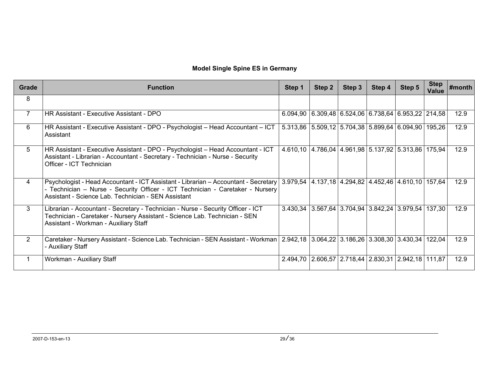# **Model Single Spine ES in Germany**

| Grade          | <b>Function</b>                                                                                                                                                                                                              | Step 1                                                        | Step 2                                                                  | Step 3                                               | Step 4 | Step 5 | <b>Step</b><br><b>Value</b> | #month |
|----------------|------------------------------------------------------------------------------------------------------------------------------------------------------------------------------------------------------------------------------|---------------------------------------------------------------|-------------------------------------------------------------------------|------------------------------------------------------|--------|--------|-----------------------------|--------|
| 8              |                                                                                                                                                                                                                              |                                                               |                                                                         |                                                      |        |        |                             |        |
| $\overline{7}$ | HR Assistant - Executive Assistant - DPO                                                                                                                                                                                     |                                                               | $6.094,90$   $6.309,48$   $6.524,06$   $6.738,64$   $6.953,22$   214,58 |                                                      |        |        |                             | 12.9   |
| 6              | HR Assistant - Executive Assistant - DPO - Psychologist - Head Accountant - ICT<br>Assistant                                                                                                                                 |                                                               | 5.313,86 5.509,12 5.704,38 5.899,64 6.094,90 195,26                     |                                                      |        |        |                             | 12.9   |
| 5              | HR Assistant - Executive Assistant - DPO - Psychologist - Head Accountant - ICT<br>Assistant - Librarian - Accountant - Secretary - Technician - Nurse - Security<br>Officer - ICT Technician                                |                                                               | 4.610,10 4.786,04 4.961,98 5.137,92 5.313,86 175,94                     |                                                      |        |        |                             | 12.9   |
| $\overline{4}$ | Psychologist - Head Accountant - ICT Assistant - Librarian - Accountant - Secretary<br>- Technician - Nurse - Security Officer - ICT Technician - Caretaker - Nursery<br>Assistant - Science Lab. Technician - SEN Assistant | 3.979,54   4.137,18   4.294,82   4.452,46   4.610,10   157,64 |                                                                         |                                                      |        |        |                             | 12.9   |
| 3              | Librarian - Accountant - Secretary - Technician - Nurse - Security Officer - ICT<br>Technician - Caretaker - Nursery Assistant - Science Lab. Technician - SEN<br>Assistant - Workman - Auxiliary Staff                      | 3.430.34                                                      |                                                                         | $3.567,64$   3.704,94   3.842,24   3.979,54   137,30 |        |        |                             | 12.9   |
| $\overline{2}$ | Caretaker - Nursery Assistant - Science Lab. Technician - SEN Assistant - Workman   2.942,18   3.064,22   3.186,26   3.308,30   3.430,34   122,04<br>- Auxiliary Staff                                                       |                                                               |                                                                         |                                                      |        |        |                             | 12.9   |
|                | Workman - Auxiliary Staff                                                                                                                                                                                                    | 2.494,70                                                      |                                                                         | 2.606,57 2.718,44 2.830,31 2.942,18 111,87           |        |        |                             | 12.9   |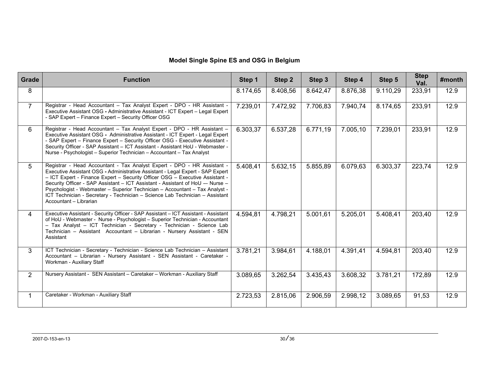# **Model Single Spine ES and OSG in Belgium**

| Grade          | <b>Function</b>                                                                                                                                                                                                                                                                                                                                                                                                                                                                                                      | Step 1   | Step 2   | Step 3   | Step 4   | Step 5   | <b>Step</b><br>Val. | #month |
|----------------|----------------------------------------------------------------------------------------------------------------------------------------------------------------------------------------------------------------------------------------------------------------------------------------------------------------------------------------------------------------------------------------------------------------------------------------------------------------------------------------------------------------------|----------|----------|----------|----------|----------|---------------------|--------|
| 8              |                                                                                                                                                                                                                                                                                                                                                                                                                                                                                                                      | 8.174,65 | 8.408,56 | 8.642,47 | 8.876,38 | 9.110,29 | 233,91              | 12.9   |
| $\overline{7}$ | Registrar - Head Accountant - Tax Analyst Expert - DPO - HR Assistant -<br>Executive Assistant OSG - Administrative Assistant - ICT Expert - Legal Expert<br>- SAP Expert - Finance Expert - Security Officer OSG                                                                                                                                                                                                                                                                                                    | 7.239,01 | 7.472,92 | 7.706,83 | 7.940,74 | 8.174,65 | 233,91              | 12.9   |
| 6              | Registrar - Head Accountant - Tax Analyst Expert - DPO - HR Assistant -<br>Executive Assistant OSG - Administrative Assistant - ICT Expert - Legal Expert<br>- SAP Expert - Finance Expert - Security Officer OSG - Executive Assistant -<br>Security Officer - SAP Assistant - ICT Assistant - Assistant HoU - Webmaster -<br>Nurse - Psychologist - Superior Technician - Accountant - Tax Analyst                                                                                                                 | 6.303,37 | 6.537,28 | 6.771,19 | 7.005,10 | 7.239,01 | 233,91              | 12.9   |
| 5              | Registrar - Head Accountant - Tax Analyst Expert - DPO - HR Assistant -<br>Executive Assistant OSG - Administrative Assistant - Legal Expert - SAP Expert<br>- ICT Expert - Finance Expert - Security Officer OSG - Executive Assistant -<br>Security Officer - SAP Assistant - ICT Assistant - Assistant of HoU -- Nurse -<br>Psychologist - Webmaster - Superior Technician - Accountant - Tax Analyst -<br>ICT Technician - Secretary - Technician - Science Lab Technician - Assistant<br>Accountant - Librarian | 5.408,41 | 5.632,15 | 5.855,89 | 6.079,63 | 6.303,37 | 223,74              | 12.9   |
| 4              | Executive Assistant - Security Officer - SAP Assistant - ICT Assistant - Assistant<br>of HoU - Webmaster - Nurse - Psychologist - Superior Technician - Accountant<br>- Tax Analyst - ICT Technician - Secretary - Technician - Science Lab<br>Technician - Assistant Accountant - Librarian - Nursery Assistant - SEN<br>Assistant                                                                                                                                                                                  | 4.594,81 | 4.798,21 | 5.001,61 | 5.205,01 | 5.408,41 | 203,40              | 12.9   |
| 3              | ICT Technician - Secretary - Technician - Science Lab Technician - Assistant<br>Accountant - Librarian - Nursery Assistant - SEN Assistant - Caretaker -<br>Workman - Auxiliary Staff                                                                                                                                                                                                                                                                                                                                | 3.781,21 | 3.984,61 | 4.188,01 | 4.391,41 | 4.594,81 | 203,40              | 12.9   |
| $\overline{2}$ | Nursery Assistant - SEN Assistant - Caretaker - Workman - Auxiliary Staff                                                                                                                                                                                                                                                                                                                                                                                                                                            | 3.089,65 | 3.262,54 | 3.435,43 | 3.608,32 | 3.781,21 | 172,89              | 12.9   |
|                | Caretaker - Workman - Auxiliary Staff                                                                                                                                                                                                                                                                                                                                                                                                                                                                                | 2.723,53 | 2.815,06 | 2.906,59 | 2.998,12 | 3.089,65 | 91,53               | 12.9   |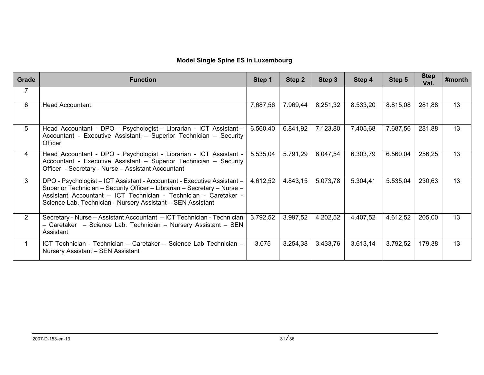| Grade          | <b>Function</b>                                                                                                                                                                                                                                                                        | Step 1   | Step 2   | Step 3   | Step 4   | Step 5   | <b>Step</b><br>Val. | $#$ month |
|----------------|----------------------------------------------------------------------------------------------------------------------------------------------------------------------------------------------------------------------------------------------------------------------------------------|----------|----------|----------|----------|----------|---------------------|-----------|
| $\overline{7}$ |                                                                                                                                                                                                                                                                                        |          |          |          |          |          |                     |           |
| 6              | <b>Head Accountant</b>                                                                                                                                                                                                                                                                 | 7.687,56 | 7.969,44 | 8.251,32 | 8.533,20 | 8.815,08 | 281,88              | 13        |
| 5              | Head Accountant - DPO - Psychologist - Librarian - ICT Assistant -<br>Accountant - Executive Assistant - Superior Technician - Security<br>Officer                                                                                                                                     | 6.560,40 | 6.841,92 | 7.123,80 | 7.405,68 | 7.687,56 | 281,88              | 13        |
| $\overline{4}$ | Head Accountant - DPO - Psychologist - Librarian - ICT Assistant -<br>Accountant - Executive Assistant - Superior Technician - Security<br>Officer - Secretary - Nurse - Assistant Accountant                                                                                          | 5.535,04 | 5.791,29 | 6.047,54 | 6.303,79 | 6.560,04 | 256,25              | 13        |
| 3              | DPO - Psychologist - ICT Assistant - Accountant - Executive Assistant -<br>Superior Technician - Security Officer - Librarian - Secretary - Nurse -<br>Assistant Accountant - ICT Technician - Technician - Caretaker -<br>Science Lab. Technician - Nursery Assistant - SEN Assistant | 4.612,52 | 4.843,15 | 5.073,78 | 5.304,41 | 5.535,04 | 230,63              | 13        |
| 2              | Secretary - Nurse - Assistant Accountant - ICT Technician - Technician<br>- Caretaker - Science Lab. Technician - Nursery Assistant - SEN<br>Assistant                                                                                                                                 | 3.792,52 | 3.997,52 | 4.202,52 | 4.407,52 | 4.612,52 | 205,00              | 13        |
|                | ICT Technician - Technician - Caretaker - Science Lab Technician -<br>Nursery Assistant - SEN Assistant                                                                                                                                                                                | 3.075    | 3.254,38 | 3.433,76 | 3.613,14 | 3.792,52 | 179,38              | 13        |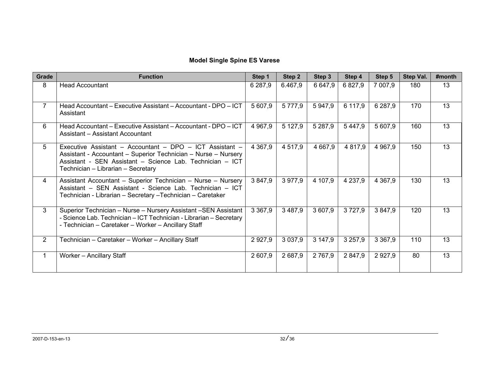# **Model Single Spine ES Varese**

| Grade          | <b>Function</b>                                                                                                                                                                                                               | Step 1      | Step 2      | Step 3      | Step 4      | Step 5      | Step Val. | #month |
|----------------|-------------------------------------------------------------------------------------------------------------------------------------------------------------------------------------------------------------------------------|-------------|-------------|-------------|-------------|-------------|-----------|--------|
| 8              | <b>Head Accountant</b>                                                                                                                                                                                                        | 6 287,9     | 6.467,9     | 6 647,9     | 6827,9      | 7 007,9     | 180       | 13     |
| $\overline{7}$ | Head Accountant – Executive Assistant – Accountant - DPO – ICT<br>Assistant                                                                                                                                                   | 5 607,9     | 5 7 7 7,9   | 5947,9      | 6 117,9     | 6 287,9     | 170       | 13     |
| 6              | Head Accountant - Executive Assistant - Accountant - DPO - ICT<br>Assistant - Assistant Accountant                                                                                                                            | 4 9 67,9    | 5 1 2 7, 9  | 5 2 8 7, 9  | 5 4 4 7 , 9 | 5 607,9     | 160       | 13     |
| 5              | Executive Assistant - Accountant - DPO - ICT Assistant -<br>Assistant - Accountant - Superior Technician - Nurse - Nursery<br>Assistant - SEN Assistant - Science Lab. Technician - ICT<br>Technician - Librarian - Secretary | 4 3 6 7 , 9 | 4 5 1 7 , 9 | 4 6 6 7 , 9 | 4 8 1 7,9   | 4 9 6 7,9   | 150       | 13     |
| $\overline{4}$ | Assistant Accountant - Superior Technician - Nurse - Nursery<br>Assistant - SEN Assistant - Science Lab. Technician - ICT<br>Technician - Librarian - Secretary - Technician - Caretaker                                      | 3847,9      | 3 977,9     | 4 107,9     | 4 2 3 7 , 9 | 4 3 6 7,9   | 130       | 13     |
| 3              | Superior Technician - Nurse - Nursery Assistant - SEN Assistant<br>- Science Lab. Technician - ICT Technician - Librarian - Secretary<br>- Technician - Caretaker - Worker - Ancillary Staff                                  | 3 3 6 7 , 9 | 3 4 8 7 , 9 | 3 607,9     | 3727,9      | 3 847,9     | 120       | 13     |
| $\overline{2}$ | Technician – Caretaker – Worker – Ancillary Staff                                                                                                                                                                             | 2 9 2 7 , 9 | 3 0 3 7 , 9 | 3 147,9     | 3 2 5 7 , 9 | 3 3 6 7,9   | 110       | 13     |
| 1              | Worker - Ancillary Staff                                                                                                                                                                                                      | 2 607,9     | 2 687,9     | 2 7 6 7,9   | 2 847,9     | 2 9 2 7 , 9 | 80        | 13     |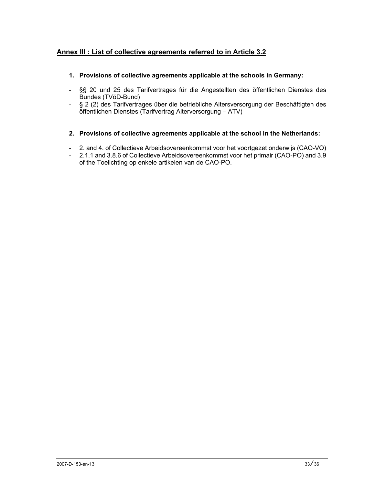# **Annex III : List of collective agreements referred to in Article 3.2**

# **1. Provisions of collective agreements applicable at the schools in Germany:**

- §§ 20 und 25 des Tarifvertrages für die Angestellten des öffentlichen Dienstes des Bundes (TVöD-Bund)
- § 2 (2) des Tarifvertrages über die betriebliche Altersversorgung der Beschäftigten des öffentlichen Dienstes (Tarifvertrag Alterversorgung – ATV)

## **2. Provisions of collective agreements applicable at the school in the Netherlands:**

- 2. and 4. of Collectieve Arbeidsovereenkommst voor het voortgezet onderwijs (CAO-VO)
- 2.1.1 and 3.8.6 of Collectieve Arbeidsovereenkommst voor het primair (CAO-PO) and 3.9 of the Toelichting op enkele artikelen van de CAO-PO.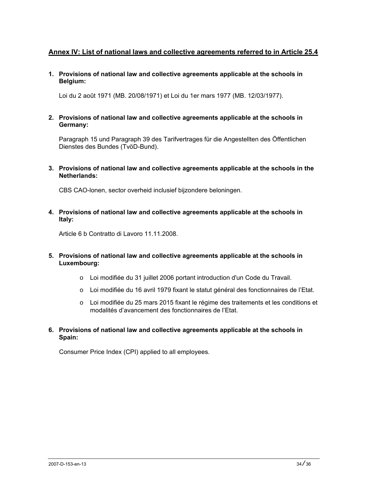# **Annex IV: List of national laws and collective agreements referred to in Article 25.4**

**1. Provisions of national law and collective agreements applicable at the schools in Belgium:** 

Loi du 2 août 1971 (MB. 20/08/1971) et Loi du 1er mars 1977 (MB. 12/03/1977).

**2. Provisions of national law and collective agreements applicable at the schools in Germany:** 

Paragraph 15 und Paragraph 39 des Tarifvertrages für die Angestellten des Öffentlichen Dienstes des Bundes (TvöD-Bund).

**3. Provisions of national law and collective agreements applicable at the schools in the Netherlands:** 

CBS CAO-lonen, sector overheid inclusief bijzondere beloningen.

**4. Provisions of national law and collective agreements applicable at the schools in Italy:** 

Article 6 b Contratto di Lavoro 11.11.2008.

- **5. Provisions of national law and collective agreements applicable at the schools in Luxembourg:** 
	- o Loi modifiée du 31 juillet 2006 portant introduction d'un Code du Travail.
	- o Loi modifiée du 16 avril 1979 fixant le statut général des fonctionnaires de l'Etat.
	- o Loi modifiée du 25 mars 2015 fixant le régime des traitements et les conditions et modalités d'avancement des fonctionnaires de l'Etat.
- **6. Provisions of national law and collective agreements applicable at the schools in Spain:**

Consumer Price Index (CPI) applied to all employees.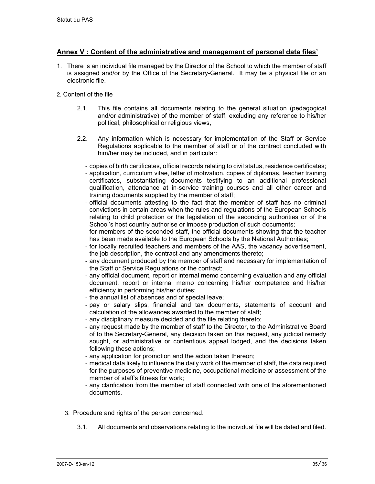# **Annex V : Content of the administrative and management of personal data files'**

1. There is an individual file managed by the Director of the School to which the member of staff is assigned and/or by the Office of the Secretary-General. It may be a physical file or an electronic file.

## 2. Content of the file

- 2.1. This file contains all documents relating to the general situation (pedagogical and/or administrative) of the member of staff, excluding any reference to his/her political, philosophical or religious views,
- 2.2. Any information which is necessary for implementation of the Staff or Service Regulations applicable to the member of staff or of the contract concluded with him/her may be included, and in particular:
	- ‐ copies of birth certificates, official records relating to civil status, residence certificates;
	- ‐ application, curriculum vitae, letter of motivation, copies of diplomas, teacher training certificates, substantiating documents testifying to an additional professional qualification, attendance at in-service training courses and all other career and training documents supplied by the member of staff;
	- ‐ official documents attesting to the fact that the member of staff has no criminal convictions in certain areas when the rules and regulations of the European Schools relating to child protection or the legislation of the seconding authorities or of the School's host country authorise or impose production of such documents;
	- ‐ for members of the seconded staff, the official documents showing that the teacher has been made available to the European Schools by the National Authorities;
	- ‐ for locally recruited teachers and members of the AAS, the vacancy advertisement, the job description, the contract and any amendments thereto;
	- ‐ any document produced by the member of staff and necessary for implementation of the Staff or Service Regulations or the contract;
	- ‐ any official document, report or internal memo concerning evaluation and any official document, report or internal memo concerning his/her competence and his/her efficiency in performing his/her duties;
	- ‐ the annual list of absences and of special leave;
	- ‐ pay or salary slips, financial and tax documents, statements of account and calculation of the allowances awarded to the member of staff;
	- ‐ any disciplinary measure decided and the file relating thereto;
	- ‐ any request made by the member of staff to the Director, to the Administrative Board of to the Secretary-General, any decision taken on this request, any judicial remedy sought, or administrative or contentious appeal lodged, and the decisions taken following these actions;
	- ‐ any application for promotion and the action taken thereon;
	- ‐ medical data likely to influence the daily work of the member of staff, the data required for the purposes of preventive medicine, occupational medicine or assessment of the member of staff's fitness for work;
	- ‐ any clarification from the member of staff connected with one of the aforementioned documents.
- 3. Procedure and rights of the person concerned.
	- 3.1. All documents and observations relating to the individual file will be dated and filed.